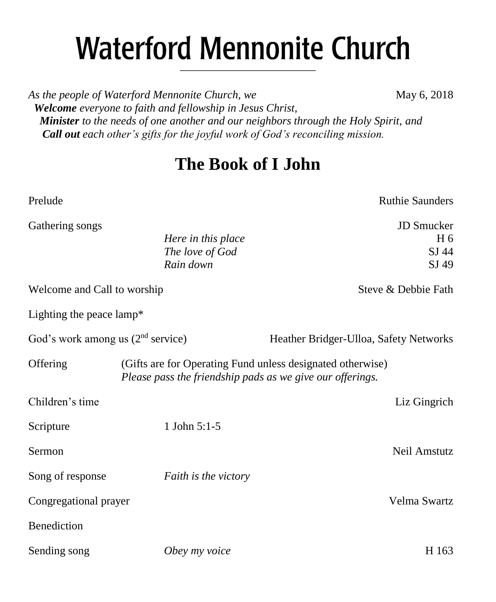# **Waterford Mennonite Church** \_\_\_\_\_\_\_\_\_\_\_\_\_\_\_\_\_\_\_\_\_\_\_\_

As the people of Waterford Mennonite Church, we **May 6, 2018**  *Welcome everyone to faith and fellowship in Jesus Christ, Minister to the needs of one another and our neighbors through the Holy Spirit, and Call out each other's gifts for the joyful work of God's reconciling mission.*

## **The Book of I John**

Prelude **Ruthie Saunders** Ruthie Saunders Gathering songs JD Smucker *Here in this place* H 6 *The love of God* SJ 44 *Rain down* SJ 49 Welcome and Call to worship Steve & Debbie Fath Lighting the peace lamp\* God's work among us (2<sup>nd</sup> service) Heather Bridger-Ulloa, Safety Networks Offering (Gifts are for Operating Fund unless designated otherwise) *Please pass the friendship pads as we give our offerings.* Children's time Liz Gingrich Scripture 1 John 5:1-5 Sermon Neil Amstutz Song of response *Faith is the victory* Congregational prayer Velma Swartz Benediction Sending song *Obey my voice* H 163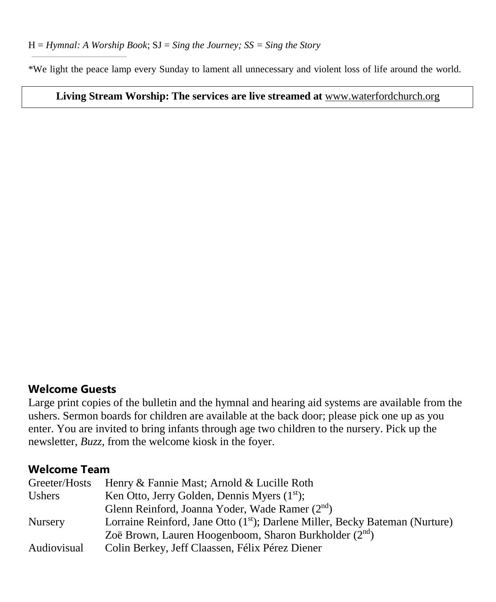\*We light the peace lamp every Sunday to lament all unnecessary and violent loss of life around the world.

#### **Living Stream Worship: The services are live streamed at** [www.waterfordchurch.org](http://www.waterfordchurch.org/)

#### **Welcome Guests**

Large print copies of the bulletin and the hymnal and hearing aid systems are available from the ushers. Sermon boards for children are available at the back door; please pick one up as you enter. You are invited to bring infants through age two children to the nursery. Pick up the newsletter, *Buzz,* from the welcome kiosk in the foyer.

#### **Welcome Team**

| Greeter/Hosts      | Henry & Fannie Mast; Arnold & Lucille Roth                                               |
|--------------------|------------------------------------------------------------------------------------------|
| <b>Ushers</b>      | Ken Otto, Jerry Golden, Dennis Myers $(1st)$ ;                                           |
|                    | Glenn Reinford, Joanna Yoder, Wade Ramer (2 <sup>nd</sup> )                              |
| <b>Nursery</b>     | Lorraine Reinford, Jane Otto (1 <sup>st</sup> ); Darlene Miller, Becky Bateman (Nurture) |
|                    | Zoë Brown, Lauren Hoogenboom, Sharon Burkholder $(2^{nd})$                               |
| <b>Audiovisual</b> | Colin Berkey, Jeff Claassen, Félix Pérez Diener                                          |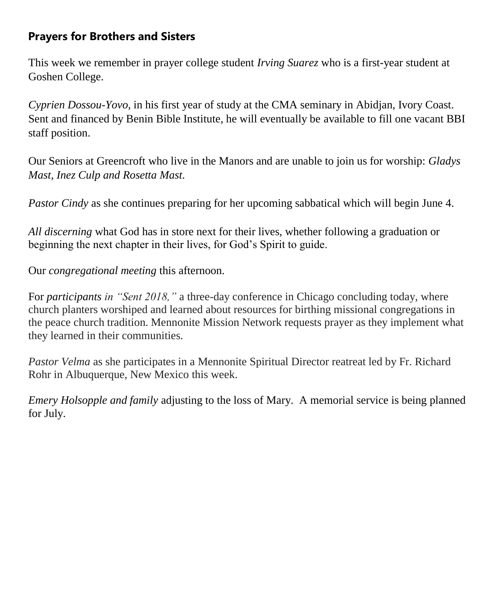## **Prayers for Brothers and Sisters**

This week we remember in prayer college student *Irving Suarez* who is a first-year student at Goshen College.

*Cyprien Dossou-Yovo,* in his first year of study at the CMA seminary in Abidjan, Ivory Coast. Sent and financed by Benin Bible Institute, he will eventually be available to fill one vacant BBI staff position.

Our Seniors at Greencroft who live in the Manors and are unable to join us for worship: *Gladys Mast, Inez Culp and Rosetta Mast.*

*Pastor Cindy* as she continues preparing for her upcoming sabbatical which will begin June 4.

*All discerning* what God has in store next for their lives, whether following a graduation or beginning the next chapter in their lives, for God's Spirit to guide.

Our *congregational meeting* this afternoon.

For *participants in "Sent 2018,"* a three-day conference in Chicago concluding today, where church planters worshiped and learned about resources for birthing missional congregations in the peace church tradition. Mennonite Mission Network requests prayer as they implement what they learned in their communities.

*Pastor Velma* as she participates in a Mennonite Spiritual Director reatreat led by Fr. Richard Rohr in Albuquerque, New Mexico this week.

*Emery Holsopple and family* adjusting to the loss of Mary. A memorial service is being planned for July.